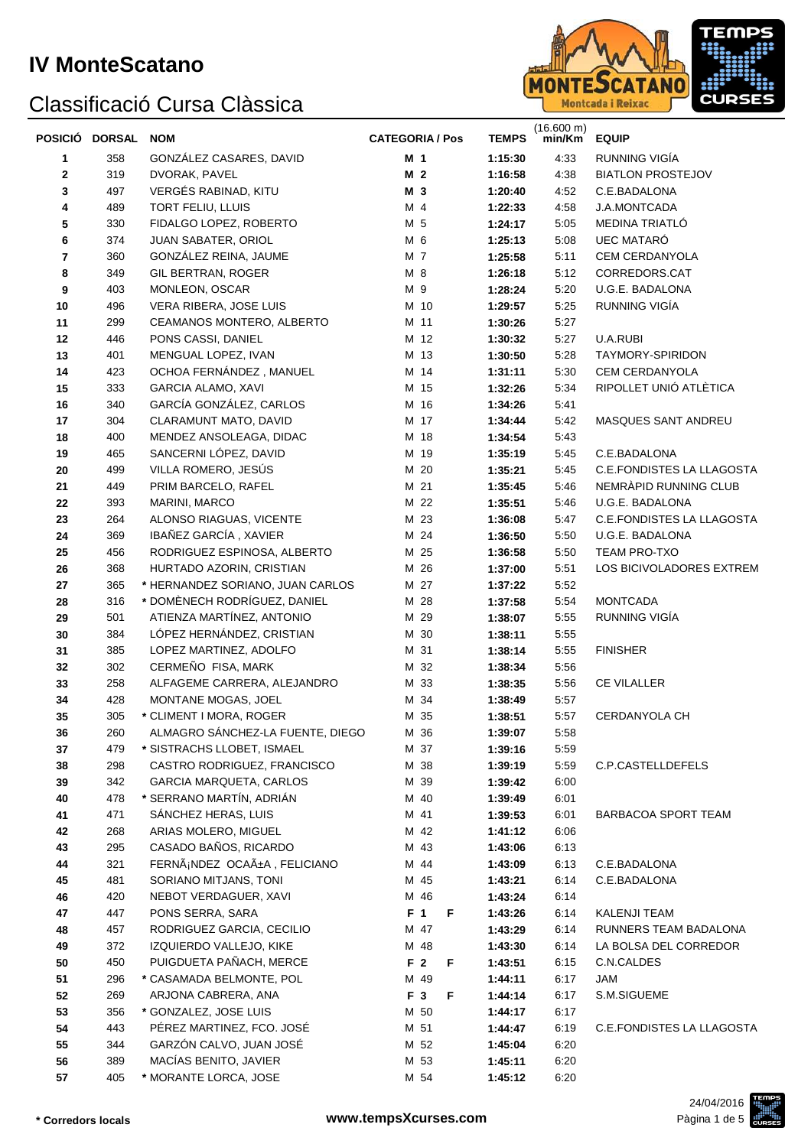

| POSICIÓ DORSAL |     | <b>NOM</b>                       | <b>CATEGORIA / Pos</b> | <b>TEMPS</b> | (16.600 m)<br>min/Km | <b>EQUIP</b>                     |
|----------------|-----|----------------------------------|------------------------|--------------|----------------------|----------------------------------|
| 1              | 358 | GONZÁLEZ CASARES, DAVID          | M 1                    | 1:15:30      | 4:33                 | RUNNING VIGÍA                    |
| 2              | 319 | DVORAK, PAVEL                    | M <sub>2</sub>         | 1:16:58      | 4:38                 | <b>BIATLON PROSTEJOV</b>         |
| 3              | 497 | VERGÉS RABINAD, KITU             | M 3                    | 1:20:40      | 4:52                 | C.E.BADALONA                     |
| 4              | 489 | TORT FELIU, LLUIS                | M 4                    | 1:22:33      | 4:58                 | <b>J.A.MONTCADA</b>              |
| 5              | 330 | FIDALGO LOPEZ, ROBERTO           | M 5                    | 1:24:17      | 5:05                 | MEDINA TRIATLÓ                   |
| 6              | 374 | JUAN SABATER, ORIOL              | M 6                    | 1:25:13      | 5:08                 | UEC MATARÓ                       |
| 7              | 360 | GONZÁLEZ REINA, JAUME            | M 7                    | 1:25:58      | 5:11                 | CEM CERDANYOLA                   |
| 8              | 349 | GIL BERTRAN, ROGER               | M 8                    | 1:26:18      | 5:12                 | CORREDORS.CAT                    |
| 9              | 403 | MONLEON, OSCAR                   | M 9                    | 1:28:24      | 5:20                 | U.G.E. BADALONA                  |
| 10             | 496 | VERA RIBERA, JOSE LUIS           | M 10                   | 1:29:57      | 5:25                 | RUNNING VIGÍA                    |
| 11             | 299 | CEAMANOS MONTERO, ALBERTO        | M 11                   | 1:30:26      | 5:27                 |                                  |
| 12             | 446 | PONS CASSI, DANIEL               | M 12                   | 1:30:32      | 5:27                 | U.A.RUBI                         |
| 13             | 401 | MENGUAL LOPEZ, IVAN              | M 13                   | 1:30:50      | 5:28                 | TAYMORY-SPIRIDON                 |
| 14             | 423 | OCHOA FERNÁNDEZ, MANUEL          | M 14                   | 1:31:11      | 5:30                 | CEM CERDANYOLA                   |
| 15             | 333 | <b>GARCIA ALAMO, XAVI</b>        | M 15                   | 1:32:26      | 5:34                 | RIPOLLET UNIÓ ATLÈTICA           |
| 16             | 340 | GARCÍA GONZÁLEZ, CARLOS          | M 16                   | 1:34:26      | 5:41                 |                                  |
| 17             | 304 | CLARAMUNT MATO, DAVID            | M 17                   | 1:34:44      | 5:42                 | MASQUES SANT ANDREU              |
| 18             | 400 | MENDEZ ANSOLEAGA, DIDAC          | M 18                   | 1:34:54      | 5:43                 |                                  |
| 19             | 465 | SANCERNI LÓPEZ, DAVID            | M 19                   | 1:35:19      | 5:45                 | C.E.BADALONA                     |
| 20             | 499 | VILLA ROMERO, JESÚS              | M 20                   | 1:35:21      | 5:45                 | C.E.FONDISTES LA LLAGOSTA        |
| 21             | 449 | PRIM BARCELO, RAFEL              | M 21                   | 1:35:45      | 5:46                 | NEMRÀPID RUNNING CLUB            |
| 22             | 393 | MARINI, MARCO                    | M 22                   | 1:35:51      | 5:46                 | U.G.E. BADALONA                  |
| 23             | 264 | ALONSO RIAGUAS, VICENTE          | M 23                   | 1:36:08      | 5:47                 | <b>C.E.FONDISTES LA LLAGOSTA</b> |
| 24             | 369 | IBAÑEZ GARCÍA, XAVIER            | M 24                   | 1:36:50      | 5:50                 | U.G.E. BADALONA                  |
| 25             | 456 | RODRIGUEZ ESPINOSA, ALBERTO      | M 25                   | 1:36:58      | 5:50                 | TEAM PRO-TXO                     |
| 26             | 368 | HURTADO AZORIN, CRISTIAN         | M 26                   | 1:37:00      | 5:51                 | LOS BICIVOLADORES EXTREM         |
| 27             | 365 | * HERNANDEZ SORIANO, JUAN CARLOS | M 27                   | 1:37:22      | 5:52                 |                                  |
| 28             | 316 | * DOMÈNECH RODRÍGUEZ, DANIEL     | M 28                   | 1:37:58      | 5:54                 | <b>MONTCADA</b>                  |
| 29             | 501 | ATIENZA MARTÍNEZ, ANTONIO        | M 29                   | 1:38:07      | 5:55                 | RUNNING VIGÍA                    |
| 30             | 384 | LÓPEZ HERNÁNDEZ, CRISTIAN        | M 30                   | 1:38:11      | 5:55                 |                                  |
| 31             | 385 | LOPEZ MARTINEZ, ADOLFO           | M 31                   | 1:38:14      | 5:55                 | <b>FINISHER</b>                  |
| 32             | 302 | CERMEÑO FISA, MARK               | M 32                   | 1:38:34      | 5:56                 |                                  |
| 33             | 258 | ALFAGEME CARRERA, ALEJANDRO      | M 33                   | 1:38:35      | 5:56                 | <b>CE VILALLER</b>               |
| 34             | 428 | MONTANE MOGAS, JOEL              | M 34                   | 1:38:49      | 5:57                 |                                  |
| 35             | 305 | * CLIMENT I MORA, ROGER          | M 35                   | 1:38:51      | 5:57                 | CERDANYOLA CH                    |
| 36             | 260 | ALMAGRO SÁNCHEZ-LA FUENTE, DIEGO | M 36                   | 1:39:07      | 5:58                 |                                  |
| 37             | 479 | * SISTRACHS LLOBET, ISMAEL       | M 37                   | 1:39:16      | 5:59                 |                                  |
| 38             | 298 | CASTRO RODRIGUEZ, FRANCISCO      | M 38                   | 1:39:19      | 5:59                 | C.P.CASTELLDEFELS                |
| 39             | 342 | <b>GARCIA MARQUETA, CARLOS</b>   | M 39                   | 1:39:42      | 6:00                 |                                  |
| 40             | 478 | * SERRANO MARTÍN, ADRIÁN         | M 40                   | 1:39:49      | 6:01                 |                                  |
| 41             | 471 | SÁNCHEZ HERAS, LUIS              | M 41                   | 1:39:53      | 6:01                 | BARBACOA SPORT TEAM              |
| 42             | 268 | ARIAS MOLERO, MIGUEL             | M 42                   | 1:41:12      | 6:06                 |                                  |
| 43             | 295 | CASADO BAÑOS, RICARDO            | M 43                   | 1:43:06      | 6:13                 |                                  |
| 44             | 321 | FERNáNDEZ OCAñA, FELICIANO       | M 44                   | 1:43:09      | 6:13                 | C.E.BADALONA                     |
| 45             | 481 | SORIANO MITJANS, TONI            | M 45                   | 1:43:21      | 6.14                 | C.E.BADALONA                     |
| 46             | 420 | NEBOT VERDAGUER, XAVI            | M 46                   | 1:43:24      | 6:14                 |                                  |
| 47             | 447 | PONS SERRA, SARA                 | F <sub>1</sub><br>F    | 1:43:26      | 6.14                 | KALENJI TEAM                     |
| 48             | 457 | RODRIGUEZ GARCIA, CECILIO        | M 47                   | 1:43:29      | 6:14                 | RUNNERS TEAM BADALONA            |
| 49             | 372 | IZQUIERDO VALLEJO, KIKE          | M 48                   | 1:43:30      | 6:14                 | LA BOLSA DEL CORREDOR            |
| 50             | 450 | PUIGDUETA PAÑACH, MERCE          | F <sub>2</sub><br>F    | 1:43:51      | 6:15                 | C.N.CALDES                       |
| 51             | 296 | * CASAMADA BELMONTE, POL         | M 49                   | 1:44:11      | 6:17                 | JAM                              |
| 52             | 269 | ARJONA CABRERA, ANA              | F 3<br>F               | 1:44:14      | 6:17                 | S.M.SIGUEME                      |
| 53             | 356 | * GONZALEZ, JOSE LUIS            | M 50                   | 1:44:17      | 6:17                 |                                  |
| 54             | 443 | PÉREZ MARTINEZ, FCO. JOSÉ        | M 51                   | 1:44:47      | 6:19                 | C.E.FONDISTES LA LLAGOSTA        |
| 55             | 344 | GARZÓN CALVO, JUAN JOSÉ          | M 52                   | 1:45:04      | 6:20                 |                                  |
| 56             | 389 | MACÍAS BENITO, JAVIER            | M 53                   | 1:45:11      | 6:20                 |                                  |
| 57             | 405 | * MORANTE LORCA, JOSE            | M 54                   | 1:45:12      | 6:20                 |                                  |

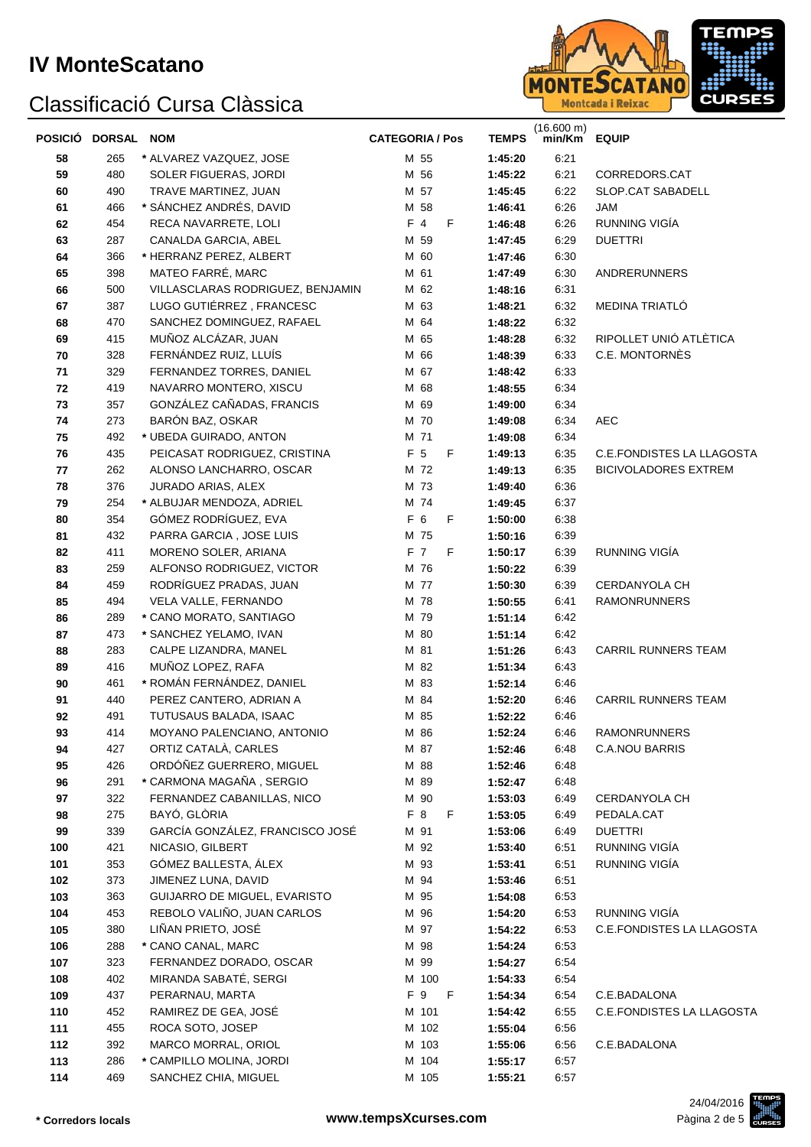

| POSICIÓ DORSAL NOM |     |                                  | <b>CATEGORIA / Pos</b> |       |     |   | <b>TEMPS</b> | (16.600 m)<br>min/Km EQUIP |                                  |
|--------------------|-----|----------------------------------|------------------------|-------|-----|---|--------------|----------------------------|----------------------------------|
| 58                 | 265 | * ALVAREZ VAZQUEZ, JOSE          |                        | M 55  |     |   | 1:45:20      | 6:21                       |                                  |
| 59                 | 480 | SOLER FIGUERAS, JORDI            |                        | M 56  |     |   | 1:45:22      | 6:21                       | CORREDORS.CAT                    |
| 60                 | 490 | TRAVE MARTINEZ, JUAN             |                        | M 57  |     |   | 1:45:45      | 6:22                       | SLOP.CAT SABADELL                |
| 61                 | 466 | * SÁNCHEZ ANDRÉS, DAVID          |                        | M 58  |     |   | 1:46:41      | 6:26                       | JAM                              |
| 62                 | 454 | RECA NAVARRETE, LOLI             |                        | F 4   |     | F | 1:46:48      | 6:26                       | RUNNING VIGÍA                    |
| 63                 | 287 | CANALDA GARCIA, ABEL             |                        | M 59  |     |   | 1:47:45      | 6:29                       | <b>DUETTRI</b>                   |
| 64                 | 366 | * HERRANZ PEREZ, ALBERT          |                        | M 60  |     |   | 1:47:46      | 6:30                       |                                  |
| 65                 | 398 | MATEO FARRÉ, MARC                |                        | M 61  |     |   | 1:47:49      | 6:30                       | ANDRERUNNERS                     |
| 66                 | 500 | VILLASCLARAS RODRIGUEZ, BENJAMIN |                        | M 62  |     |   | 1:48:16      | 6:31                       |                                  |
| 67                 | 387 | LUGO GUTIÉRREZ, FRANCESC         |                        | M 63  |     |   | 1:48:21      | 6:32                       | MEDINA TRIATLÓ                   |
| 68                 | 470 | SANCHEZ DOMINGUEZ, RAFAEL        |                        | M 64  |     |   | 1:48:22      | 6:32                       |                                  |
| 69                 | 415 | MUÑOZ ALCÁZAR, JUAN              |                        | M 65  |     |   | 1:48:28      | 6:32                       | RIPOLLET UNIÓ ATLÈTICA           |
| 70                 | 328 | FERNÁNDEZ RUIZ, LLUÍS            |                        | M 66  |     |   | 1:48:39      | 6:33                       | C.E. MONTORNÈS                   |
| 71                 | 329 | FERNANDEZ TORRES, DANIEL         |                        | M 67  |     |   | 1:48:42      | 6:33                       |                                  |
| 72                 | 419 | NAVARRO MONTERO, XISCU           |                        | M 68  |     |   | 1:48:55      | 6:34                       |                                  |
| 73                 | 357 | GONZÁLEZ CAÑADAS, FRANCIS        |                        | M 69  |     |   | 1:49:00      | 6:34                       |                                  |
| 74                 | 273 | BARÓN BAZ, OSKAR                 |                        | M 70  |     |   | 1:49:08      | 6:34                       | <b>AEC</b>                       |
| 75                 | 492 | * UBEDA GUIRADO, ANTON           |                        | M 71  |     |   | 1:49:08      | 6:34                       |                                  |
| 76                 | 435 | PEICASAT RODRIGUEZ, CRISTINA     |                        | F 5   |     | F | 1:49:13      | 6:35                       | <b>C.E.FONDISTES LA LLAGOSTA</b> |
| 77                 | 262 | ALONSO LANCHARRO, OSCAR          |                        | M 72  |     |   | 1:49:13      | 6:35                       | <b>BICIVOLADORES EXTREM</b>      |
| 78                 | 376 | JURADO ARIAS, ALEX               |                        | M 73  |     |   | 1:49:40      | 6:36                       |                                  |
| 79                 | 254 | * ALBUJAR MENDOZA, ADRIEL        |                        | M 74  |     |   | 1:49:45      | 6:37                       |                                  |
| 80                 | 354 | GÓMEZ RODRÍGUEZ, EVA             |                        | F 6   |     | F | 1:50:00      | 6:38                       |                                  |
| 81                 | 432 | PARRA GARCIA, JOSE LUIS          |                        | M 75  |     |   | 1:50:16      | 6:39                       |                                  |
| 82                 | 411 | MORENO SOLER, ARIANA             |                        | F 7   |     | F | 1:50:17      | 6:39                       | RUNNING VIGÍA                    |
| 83                 | 259 | ALFONSO RODRIGUEZ, VICTOR        |                        | M 76  |     |   | 1:50:22      | 6:39                       |                                  |
| 84                 | 459 | RODRÍGUEZ PRADAS, JUAN           |                        | M 77  |     |   | 1:50:30      | 6:39                       | CERDANYOLA CH                    |
| 85                 | 494 | VELA VALLE, FERNANDO             |                        | M 78  |     |   | 1:50:55      | 6:41                       | <b>RAMONRUNNERS</b>              |
| 86                 | 289 | * CANO MORATO, SANTIAGO          |                        | M 79  |     |   | 1:51:14      | 6:42                       |                                  |
| 87                 | 473 | * SANCHEZ YELAMO, IVAN           |                        | M 80  |     |   | 1:51:14      | 6:42                       |                                  |
| 88                 | 283 | CALPE LIZANDRA, MANEL            |                        | M 81  |     |   | 1:51:26      | 6:43                       | <b>CARRIL RUNNERS TEAM</b>       |
| 89                 | 416 | MUÑOZ LOPEZ, RAFA                |                        | M 82  |     |   | 1:51:34      | 6:43                       |                                  |
| 90                 | 461 | * ROMÁN FERNÁNDEZ, DANIEL        |                        | M 83  |     |   | 1:52:14      | 6:46                       |                                  |
| 91                 | 440 | PEREZ CANTERO, ADRIAN A          |                        | M 84  |     |   | 1:52:20      | 6:46                       | <b>CARRIL RUNNERS TEAM</b>       |
| 92                 | 491 | TUTUSAUS BALADA, ISAAC           |                        | M 85  |     |   | 1:52:22      | 6:46                       |                                  |
| 93                 | 414 | MOYANO PALENCIANO, ANTONIO       |                        | M 86  |     |   | 1:52:24      | 6:46                       | RAMONRUNNERS                     |
| 94                 | 427 | ORTIZ CATALÀ, CARLES             |                        | M 87  |     |   | 1:52:46      | 6:48                       | <b>C.A.NOU BARRIS</b>            |
| 95                 | 426 | ORDÓÑEZ GUERRERO, MIGUEL         |                        | M 88  |     |   | 1:52:46      | 6:48                       |                                  |
| 96                 | 291 | * CARMONA MAGAÑA, SERGIO         |                        | M 89  |     |   | 1:52:47      | 6:48                       |                                  |
| 97                 | 322 | FERNANDEZ CABANILLAS, NICO       |                        | M 90  |     |   | 1:53:03      | 6:49                       | CERDANYOLA CH                    |
| 98                 | 275 | BAYÓ, GLÒRIA                     |                        | F 8   |     | F | 1:53:05      | 6:49                       | PEDALA.CAT                       |
| 99                 | 339 | GARCÍA GONZÁLEZ, FRANCISCO JOSÉ  |                        | M 91  |     |   | 1:53:06      | 6:49                       | <b>DUETTRI</b>                   |
| 100                | 421 | NICASIO, GILBERT                 |                        | M 92  |     |   | 1:53:40      | 6:51                       | RUNNING VIGÍA                    |
| 101                | 353 | GÓMEZ BALLESTA, ÁLEX             |                        | M 93  |     |   | 1:53:41      | 6:51                       | RUNNING VIGÍA                    |
| 102                | 373 | JIMENEZ LUNA, DAVID              |                        | M 94  |     |   | 1:53:46      | 6:51                       |                                  |
| 103                | 363 | GUIJARRO DE MIGUEL, EVARISTO     |                        | M 95  |     |   | 1:54:08      | 6:53                       |                                  |
| 104                | 453 | REBOLO VALIÑO, JUAN CARLOS       |                        | M 96  |     |   | 1:54:20      | 6.53                       | RUNNING VIGÍA                    |
| 105                | 380 | LIÑAN PRIETO, JOSÉ               |                        | M 97  |     |   | 1:54:22      | 6:53                       | C.E.FONDISTES LA LLAGOSTA        |
| 106                | 288 | * CANO CANAL, MARC               |                        | M 98  |     |   | 1:54:24      | 6:53                       |                                  |
| 107                | 323 | FERNANDEZ DORADO, OSCAR          |                        | M 99  |     |   | 1:54:27      | 6:54                       |                                  |
| 108                | 402 | MIRANDA SABATÉ, SERGI            |                        | M 100 |     |   | 1:54:33      | 6:54                       |                                  |
| 109                | 437 | PERARNAU, MARTA                  |                        | F 9   | - F |   | 1:54:34      | 6:54                       | C.E.BADALONA                     |
| 110                | 452 | RAMIREZ DE GEA, JOSÉ             |                        | M 101 |     |   | 1:54:42      | 6:55                       | C.E.FONDISTES LA LLAGOSTA        |
| 111                | 455 | ROCA SOTO, JOSEP                 |                        | M 102 |     |   | 1:55:04      | 6:56                       |                                  |
| 112                | 392 | MARCO MORRAL, ORIOL              |                        | M 103 |     |   | 1:55:06      | 6:56                       | C.E.BADALONA                     |
| 113                | 286 | * CAMPILLO MOLINA, JORDI         |                        | M 104 |     |   | 1:55:17      | 6:57                       |                                  |
| 114                | 469 | SANCHEZ CHIA, MIGUEL             |                        | M 105 |     |   | 1:55:21      | 6:57                       |                                  |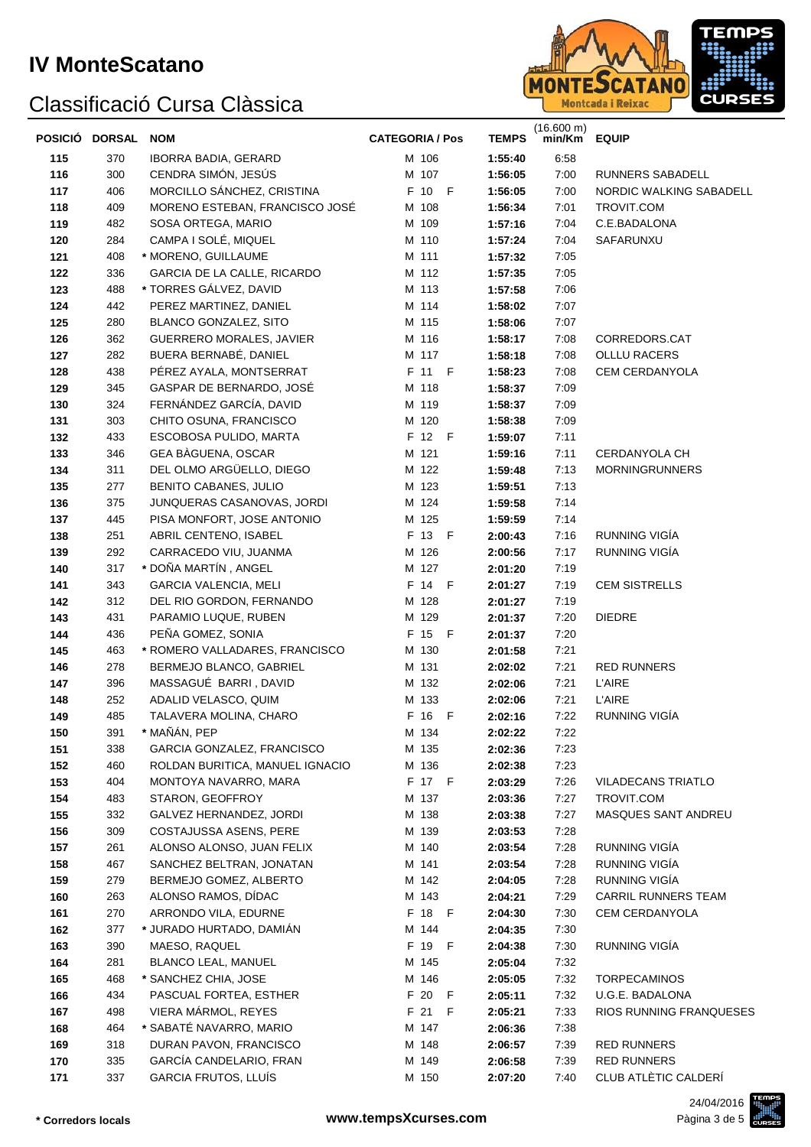

|     | POSICIÓ DORSAL | <b>NOM</b>                      | <b>CATEGORIA / Pos</b> | <b>TEMPS</b> | (16.600 m)<br>min/Km | <b>EQUIP</b>               |
|-----|----------------|---------------------------------|------------------------|--------------|----------------------|----------------------------|
| 115 | 370            | <b>IBORRA BADIA, GERARD</b>     | M 106                  | 1:55:40      | 6:58                 |                            |
| 116 | 300            | CENDRA SIMÓN, JESÚS             | M 107                  | 1:56:05      | 7:00                 | RUNNERS SABADELL           |
| 117 | 406            | MORCILLO SÁNCHEZ, CRISTINA      | F 10 F                 | 1:56:05      | 7:00                 | NORDIC WALKING SABADELL    |
| 118 | 409            | MORENO ESTEBAN, FRANCISCO JOSÉ  | M 108                  | 1:56:34      | 7:01                 | TROVIT.COM                 |
| 119 | 482            | SOSA ORTEGA, MARIO              | M 109                  | 1:57:16      | 7:04                 | C.E.BADALONA               |
| 120 | 284            | CAMPA I SOLÉ, MIQUEL            | M 110                  | 1:57:24      | 7:04                 | SAFARUNXU                  |
| 121 | 408            | * MORENO, GUILLAUME             | M 111                  | 1:57:32      | 7:05                 |                            |
| 122 | 336            | GARCIA DE LA CALLE, RICARDO     | M 112                  | 1:57:35      | 7:05                 |                            |
| 123 | 488            | * TORRES GÁLVEZ, DAVID          | M 113                  | 1:57:58      | 7:06                 |                            |
| 124 | 442            | PEREZ MARTINEZ, DANIEL          | M 114                  | 1:58:02      | 7:07                 |                            |
| 125 | 280            | BLANCO GONZALEZ, SITO           | M 115                  | 1:58:06      | 7:07                 |                            |
| 126 | 362            | GUERRERO MORALES, JAVIER        | M 116                  | 1:58:17      | 7:08                 | CORREDORS.CAT              |
| 127 | 282            | BUERA BERNABÉ, DANIEL           | M 117                  | 1:58:18      | 7:08                 | <b>OLLLU RACERS</b>        |
| 128 | 438            | PÉREZ AYALA, MONTSERRAT         | F 11 F                 | 1:58:23      | 7:08                 | CEM CERDANYOLA             |
| 129 | 345            | GASPAR DE BERNARDO, JOSÉ        | M 118                  | 1:58:37      | 7:09                 |                            |
| 130 | 324            | FERNÁNDEZ GARCÍA, DAVID         | M 119                  | 1:58:37      | 7:09                 |                            |
| 131 | 303            | CHITO OSUNA, FRANCISCO          | M 120                  | 1:58:38      | 7:09                 |                            |
| 132 | 433            | ESCOBOSA PULIDO, MARTA          | F 12 F                 | 1:59:07      | 7:11                 |                            |
| 133 | 346            | GEA BÀGUENA, OSCAR              | M 121                  | 1:59:16      | 7:11                 | CERDANYOLA CH              |
| 134 | 311            | DEL OLMO ARGÜELLO, DIEGO        | M 122                  | 1:59:48      | 7:13                 | <b>MORNINGRUNNERS</b>      |
| 135 | 277            | BENITO CABANES, JULIO           | M 123                  | 1:59:51      | 7:13                 |                            |
| 136 | 375            | JUNQUERAS CASANOVAS, JORDI      | M 124                  | 1:59:58      | 7:14                 |                            |
| 137 | 445            | PISA MONFORT, JOSE ANTONIO      | M 125                  | 1:59:59      | 7:14                 |                            |
| 138 | 251            | ABRIL CENTENO, ISABEL           | F 13 F                 | 2:00:43      | 7:16                 | RUNNING VIGÍA              |
| 139 | 292            | CARRACEDO VIU, JUANMA           | M 126                  | 2:00:56      | 7:17                 | RUNNING VIGÍA              |
| 140 | 317            | * DOÑA MARTÍN, ANGEL            | M 127                  | 2:01:20      | 7:19                 |                            |
| 141 | 343            | <b>GARCIA VALENCIA, MELI</b>    | F 14 F                 | 2:01:27      | 7:19                 | <b>CEM SISTRELLS</b>       |
| 142 | 312            | DEL RIO GORDON, FERNANDO        | M 128                  | 2:01:27      | 7:19                 |                            |
| 143 | 431            | PARAMIO LUQUE, RUBEN            | M 129                  | 2:01:37      | 7:20                 | <b>DIEDRE</b>              |
| 144 | 436            | PEÑA GOMEZ, SONIA               | F 15 F                 | 2:01:37      | 7:20                 |                            |
| 145 | 463            | * ROMERO VALLADARES, FRANCISCO  | M 130                  | 2:01:58      | 7:21                 |                            |
| 146 | 278            | BERMEJO BLANCO, GABRIEL         | M 131                  | 2:02:02      | 7:21                 | <b>RED RUNNERS</b>         |
| 147 | 396            | MASSAGUÉ BARRI, DAVID           | M 132                  | 2:02:06      | 7:21                 | <b>L'AIRE</b>              |
| 148 | 252            | ADALID VELASCO, QUIM            | M 133                  | 2:02:06      | 7:21                 | <b>L'AIRE</b>              |
| 149 | 485            | TALAVERA MOLINA, CHARO          | F 16 F                 | 2:02:16      | 7:22                 | RUNNING VIGÍA              |
| 150 | 391            | * MAÑÁN, PEP                    | M 134                  | 2:02:22      | 7:22                 |                            |
| 151 | 338            | GARCIA GONZALEZ, FRANCISCO      | M 135                  | 2:02:36      | 7:23                 |                            |
| 152 | 460            | ROLDAN BURITICA, MANUEL IGNACIO | M 136                  | 2:02:38      | 7:23                 |                            |
| 153 | 404            | MONTOYA NAVARRO, MARA           | F 17 F                 | 2:03:29      | 7:26                 | <b>VILADECANS TRIATLO</b>  |
| 154 | 483            | STARON, GEOFFROY                | M 137                  | 2:03:36      | 7:27                 | TROVIT.COM                 |
| 155 | 332            | GALVEZ HERNANDEZ, JORDI         | M 138                  | 2:03:38      | 7:27                 | MASQUES SANT ANDREU        |
| 156 | 309            | COSTAJUSSA ASENS, PERE          | M 139                  | 2:03:53      | 7:28                 |                            |
| 157 | 261            | ALONSO ALONSO, JUAN FELIX       | M 140                  | 2:03:54      | 7:28                 | RUNNING VIGÍA              |
| 158 | 467            | SANCHEZ BELTRAN, JONATAN        | M 141                  | 2:03:54      | 7:28                 | RUNNING VIGÍA              |
| 159 | 279            | BERMEJO GOMEZ, ALBERTO          | M 142                  | 2:04:05      | 7:28                 | RUNNING VIGÍA              |
| 160 | 263            | ALONSO RAMOS, DÍDAC             | M 143                  | 2:04:21      | 7:29                 | <b>CARRIL RUNNERS TEAM</b> |
| 161 | 270            | ARRONDO VILA, EDURNE            | F 18 F                 | 2:04:30      | 7:30                 | CEM CERDANYOLA             |
| 162 | 377            | * JURADO HURTADO, DAMIÁN        | M 144                  | 2:04:35      | 7:30                 |                            |
| 163 | 390            | MAESO, RAQUEL                   | F 19 F                 | 2:04:38      | 7:30                 | RUNNING VIGÍA              |
| 164 | 281            | BLANCO LEAL, MANUEL             | M 145                  | 2:05:04      | 7:32                 |                            |
| 165 | 468            | * SANCHEZ CHIA, JOSE            | M 146                  | 2:05:05      | 7:32                 | <b>TORPECAMINOS</b>        |
| 166 | 434            | PASCUAL FORTEA, ESTHER          | F 20 F                 | 2:05:11      | 7:32                 | U.G.E. BADALONA            |
| 167 | 498            | VIERA MÁRMOL, REYES             | F 21 F                 | 2:05:21      | 7:33                 | RIOS RUNNING FRANQUESES    |
| 168 | 464            | * SABATÉ NAVARRO, MARIO         | M 147                  | 2:06:36      | 7:38                 |                            |
| 169 | 318            | DURAN PAVON, FRANCISCO          | M 148                  | 2:06:57      | 7:39                 | <b>RED RUNNERS</b>         |
| 170 | 335            | GARCÍA CANDELARIO, FRAN         | M 149                  | 2:06:58      | 7:39                 | <b>RED RUNNERS</b>         |
| 171 | 337            | GARCIA FRUTOS, LLUÍS            | M 150                  | 2:07:20      | 7:40                 | CLUB ATLÈTIC CALDERÍ       |

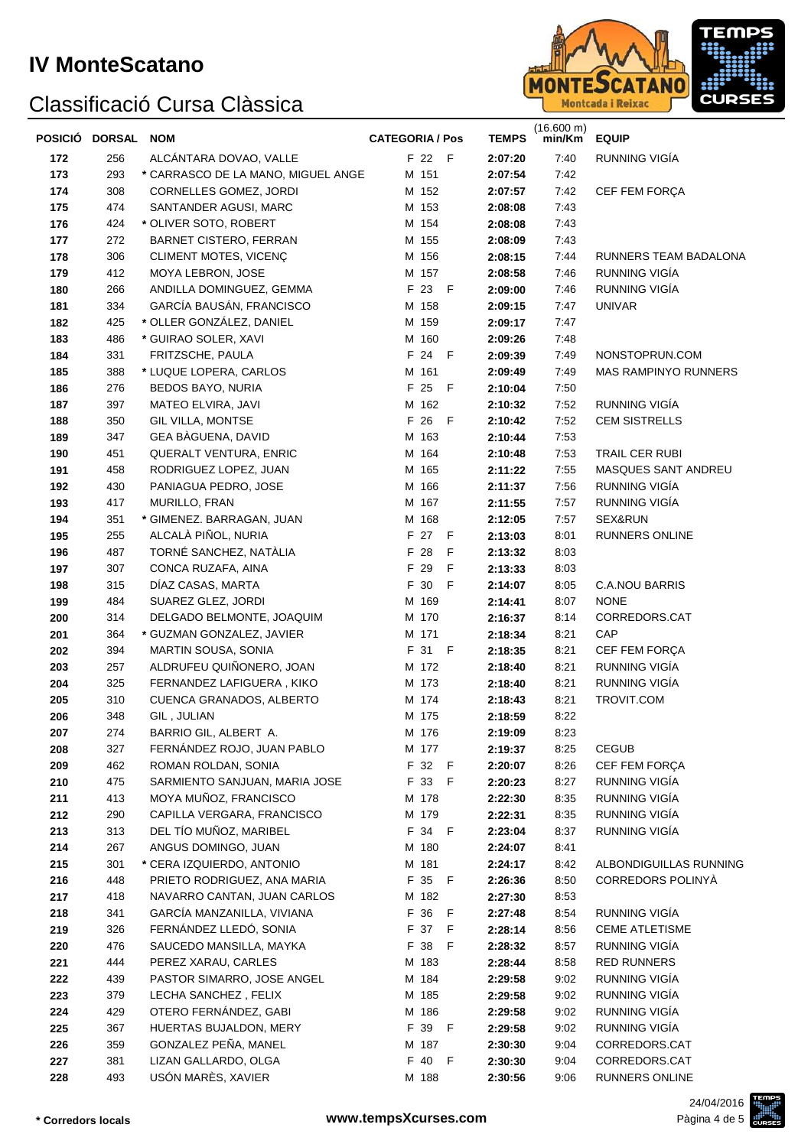

| POSICIÓ DORSAL NOM |            |                                                          | <b>CATEGORIA / Pos</b> | <b>TEMPS</b>       | $(16.600 \text{ m})$<br>min/Km | <b>EQUIP</b>                                |
|--------------------|------------|----------------------------------------------------------|------------------------|--------------------|--------------------------------|---------------------------------------------|
| 172                | 256        | ALCANTARA DOVAO, VALLE                                   | F 22 F                 | 2:07:20            | 7:40                           | RUNNING VIGÍA                               |
| 173                | 293        | * CARRASCO DE LA MANO, MIGUEL ANGE                       | M 151                  | 2:07:54            | 7:42                           |                                             |
| 174                | 308        | CORNELLES GOMEZ, JORDI                                   | M 152                  | 2:07:57            | 7:42                           | CEF FEM FORÇA                               |
| 175                | 474        | SANTANDER AGUSI, MARC                                    | M 153                  | 2:08:08            | 7:43                           |                                             |
| 176                | 424        | * OLIVER SOTO, ROBERT                                    | M 154                  | 2:08:08            | 7:43                           |                                             |
| 177                | 272        | <b>BARNET CISTERO, FERRAN</b>                            | M 155                  | 2:08:09            | 7:43                           |                                             |
| 178                | 306        | CLIMENT MOTES, VICENC                                    | M 156                  | 2:08:15            | 7:44                           | RUNNERS TEAM BADALONA                       |
| 179                | 412        | MOYA LEBRON, JOSE                                        | M 157                  | 2:08:58            | 7:46                           | RUNNING VIGÍA                               |
| 180                | 266        | ANDILLA DOMINGUEZ, GEMMA                                 | F 23 F                 | 2:09:00            | 7:46                           | RUNNING VIGÍA                               |
| 181                | 334        | GARCÍA BAUSÁN, FRANCISCO                                 | M 158                  | 2:09:15            | 7:47                           | <b>UNIVAR</b>                               |
| 182                | 425        | * OLLER GONZÁLEZ, DANIEL                                 | M 159                  | 2:09:17            | 7:47                           |                                             |
| 183                | 486        | * GUIRAO SOLER, XAVI                                     | M 160                  | 2:09:26            | 7:48                           |                                             |
| 184                | 331        | FRITZSCHE, PAULA                                         | F 24 F                 | 2:09:39            | 7:49                           | NONSTOPRUN.COM                              |
| 185                | 388        | * LUQUE LOPERA, CARLOS                                   | M 161                  | 2:09:49            | 7:49                           | <b>MAS RAMPINYO RUNNERS</b>                 |
| 186                | 276        | BEDOS BAYO, NURIA                                        | F 25 F                 | 2:10:04            | 7:50                           |                                             |
| 187                | 397        | MATEO ELVIRA, JAVI                                       | M 162                  | 2:10:32            | 7:52                           | RUNNING VIGÍA                               |
| 188                | 350<br>347 | <b>GIL VILLA, MONTSE</b><br>GEA BÀGUENA, DAVID           | F 26 F<br>M 163        | 2:10:42            | 7:52<br>7:53                   | <b>CEM SISTRELLS</b>                        |
| 189<br>190         | 451        | <b>QUERALT VENTURA, ENRIC</b>                            | M 164                  | 2:10:44<br>2:10:48 | 7:53                           | TRAIL CER RUBI                              |
| 191                | 458        | RODRIGUEZ LOPEZ, JUAN                                    | M 165                  | 2:11:22            | 7:55                           | MASQUES SANT ANDREU                         |
| 192                | 430        | PANIAGUA PEDRO, JOSE                                     | M 166                  | 2:11:37            | 7:56                           | RUNNING VIGÍA                               |
| 193                | 417        | MURILLO, FRAN                                            | M 167                  | 2:11:55            | 7:57                           | RUNNING VIGÍA                               |
| 194                | 351        | * GIMENEZ. BARRAGAN, JUAN                                | M 168                  | 2:12:05            | 7:57                           | SEX&RUN                                     |
| 195                | 255        | ALCALÀ PIÑOL, NURIA                                      | F 27 F                 | 2:13:03            | 8:01                           | RUNNERS ONLINE                              |
| 196                | 487        | TORNÉ SANCHEZ, NATÀLIA                                   | F 28<br>F              | 2:13:32            | 8:03                           |                                             |
| 197                | 307        | CONCA RUZAFA, AINA                                       | F 29<br>F              | 2:13:33            | 8:03                           |                                             |
| 198                | 315        | DIAZ CASAS, MARTA                                        | F 30<br>- F            | 2:14:07            | 8:05                           | <b>C.A.NOU BARRIS</b>                       |
| 199                | 484        | SUAREZ GLEZ, JORDI                                       | M 169                  | 2:14:41            | 8:07                           | <b>NONE</b>                                 |
| 200                | 314        | DELGADO BELMONTE, JOAQUIM                                | M 170                  | 2:16:37            | 8:14                           | CORREDORS.CAT                               |
| 201                | 364        | * GUZMAN GONZALEZ, JAVIER                                | M 171                  | 2:18:34            | 8:21                           | CAP                                         |
| 202                | 394        | MARTIN SOUSA, SONIA                                      | F 31 F                 | 2:18:35            | 8:21                           | CEF FEM FORÇA                               |
| 203                | 257        | ALDRUFEU QUIÑONERO, JOAN                                 | M 172                  | 2:18:40            | 8:21                           | RUNNING VIGÍA                               |
| 204                | 325        | FERNANDEZ LAFIGUERA, KIKO                                | M 173                  | 2:18:40            | 8:21                           | RUNNING VIGÍA                               |
| 205                | 310        | CUENCA GRANADOS, ALBERTO                                 | M 174                  | 2:18:43            | 8:21                           | TROVIT.COM                                  |
| 206                | 348        | GIL, JULIAN                                              | M 175                  | 2:18:59            | 8:22                           |                                             |
| 207                | 274        | BARRIO GIL, ALBERT A.                                    | M 176                  | 2:19:09            | 8:23                           |                                             |
| 208                | 327        | FERNÁNDEZ ROJO, JUAN PABLO                               | M 177                  | 2:19:37            | 8:25                           | <b>CEGUB</b>                                |
| 209                | 462        | ROMAN ROLDAN, SONIA                                      | F 32 F                 | 2:20:07            | 8:26                           | CEF FEM FORÇA                               |
| 210                | 475        | SARMIENTO SANJUAN, MARIA JOSE                            | F 33 F                 | 2:20:23            | 8:27                           | RUNNING VIGÍA                               |
| 211                | 413        | MOYA MUÑOZ, FRANCISCO                                    | M 178                  | 2:22:30            | 8:35                           | RUNNING VIGÍA                               |
| 212                | 290        | CAPILLA VERGARA, FRANCISCO                               | M 179                  | 2:22:31            | 8:35                           | RUNNING VIGÍA                               |
| 213                | 313        | DEL TÍO MUÑOZ, MARIBEL                                   | F 34 F                 | 2:23:04            | 8:37                           | RUNNING VIGÍA                               |
| 214                | 267        | ANGUS DOMINGO, JUAN                                      | M 180                  | 2:24:07            | 8:41                           |                                             |
| 215                | 301<br>448 | * CERA IZQUIERDO, ANTONIO<br>PRIETO RODRIGUEZ, ANA MARIA | M 181<br>F 35 F        | 2:24:17            | 8:42<br>8:50                   | ALBONDIGUILLAS RUNNING<br>CORREDORS POLINYÀ |
| 216<br>217         | 418        | NAVARRO CANTAN, JUAN CARLOS                              | M 182                  | 2:26:36<br>2:27:30 | 8:53                           |                                             |
| 218                | 341        | GARCÍA MANZANILLA, VIVIANA                               | F 36 F                 | 2:27:48            | 8:54                           | RUNNING VIGÍA                               |
| 219                | 326        | FERNÁNDEZ LLEDÓ, SONIA                                   | F 37 F                 | 2:28:14            | 8:56                           | <b>CEME ATLETISME</b>                       |
| 220                | 476        | SAUCEDO MANSILLA, MAYKA                                  | F 38 F                 | 2:28:32            | 8:57                           | RUNNING VIGÍA                               |
| 221                | 444        | PEREZ XARAU, CARLES                                      | M 183                  | 2:28:44            | 8:58                           | <b>RED RUNNERS</b>                          |
| 222                | 439        | PASTOR SIMARRO, JOSE ANGEL                               | M 184                  | 2:29:58            | 9:02                           | RUNNING VIGÍA                               |
| 223                | 379        | LECHA SANCHEZ, FELIX                                     | M 185                  | 2:29:58            | 9:02                           | RUNNING VIGÍA                               |
| 224                | 429        | OTERO FERNÁNDEZ, GABI                                    | M 186                  | 2:29:58            | 9:02                           | RUNNING VIGÍA                               |
| 225                | 367        | HUERTAS BUJALDON, MERY                                   | F 39 F                 | 2:29:58            | 9:02                           | RUNNING VIGÍA                               |
| 226                | 359        | GONZALEZ PEÑA, MANEL                                     | M 187                  | 2:30:30            | 9:04                           | CORREDORS.CAT                               |
| 227                | 381        | LIZAN GALLARDO, OLGA                                     | F 40 F                 | 2:30:30            | 9:04                           | CORREDORS.CAT                               |
| 228                | 493        | USÓN MARÈS, XAVIER                                       | M 188                  | 2:30:56            | 9:06                           | RUNNERS ONLINE                              |